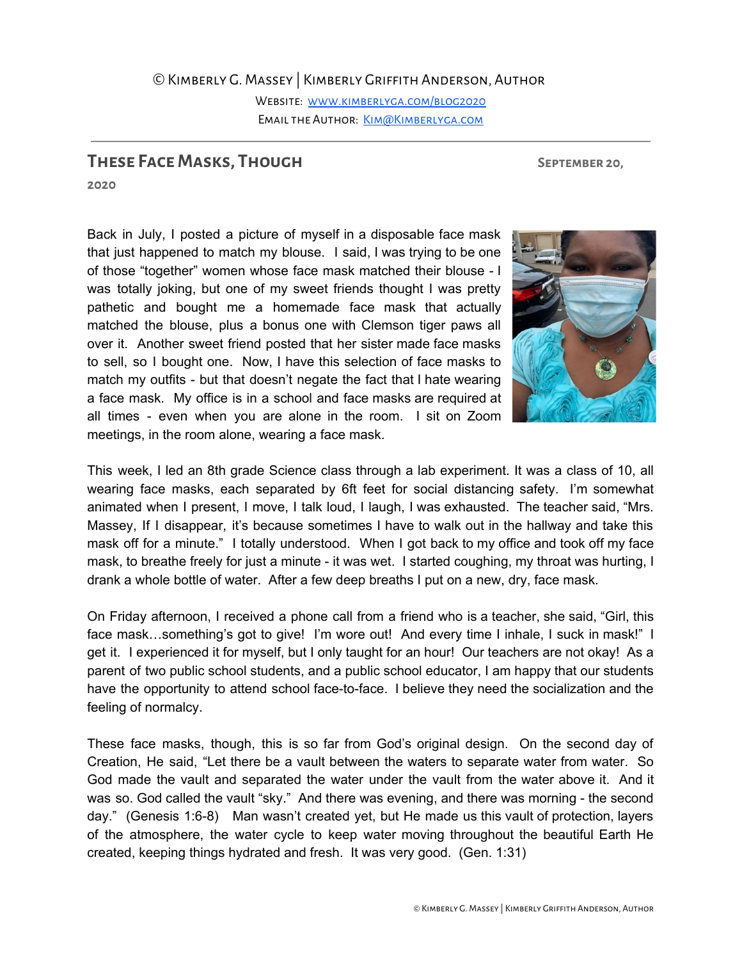## ©Kimberly G. Massey | Kimberly Griffith Anderson, Author Website: [www.kimberlyga.com/blog2020](http://www.kimberlyga.com/blog2020) EMAIL THE AUTHOR: KIM@KIMBERLYGA.COM

## **These FaceMasks, Though September 20,**

**2020**

Back in July, I posted a picture of myself in a disposable face mask that just happened to match my blouse. I said, I was trying to be one of those "together" women whose face mask matched their blouse - I was totally joking, but one of my sweet friends thought I was pretty pathetic and bought me a homemade face mask that actually matched the blouse, plus a bonus one with Clemson tiger paws all over it. Another sweet friend posted that her sister made face masks to sell, so I bought one. Now, I have this selection of face masks to match my outfits - but that doesn't negate the fact that I hate wearing a face mask. My office is in a school and face masks are required at all times - even when you are alone in the room. I sit on Zoom meetings, in the room alone, wearing a face mask.



This week, I led an 8th grade Science class through a lab experiment. It was a class of 10, all wearing face masks, each separated by 6ft feet for social distancing safety. I'm somewhat animated when I present, I move, I talk loud, I laugh, I was exhausted. The teacher said, "Mrs. Massey, If I disappear, it's because sometimes I have to walk out in the hallway and take this mask off for a minute." I totally understood. When I got back to my office and took off my face mask, to breathe freely for just a minute - it was wet. I started coughing, my throat was hurting, I drank a whole bottle of water. After a few deep breaths I put on a new, dry, face mask.

On Friday afternoon, I received a phone call from a friend who is a teacher, she said, "Girl, this face mask...something's got to give! I'm wore out! And every time I inhale, I suck in mask!" I get it. I experienced it for myself, but I only taught for an hour! Our teachers are not okay! As a parent of two public school students, and a public school educator, I am happy that our students have the opportunity to attend school face-to-face. I believe they need the socialization and the feeling of normalcy.

These face masks, though, this is so far from God's original design. On the second day of Creation, He said, "Let there be a vault between the waters to separate water from water. So God made the vault and separated the water under the vault from the water above it. And it was so. God called the vault "sky." And there was evening, and there was morning - the second day." (Genesis 1:6-8) Man wasn't created yet, but He made us this vault of protection, layers of the atmosphere, the water cycle to keep water moving throughout the beautiful Earth He created, keeping things hydrated and fresh. It was very good. (Gen. 1:31)